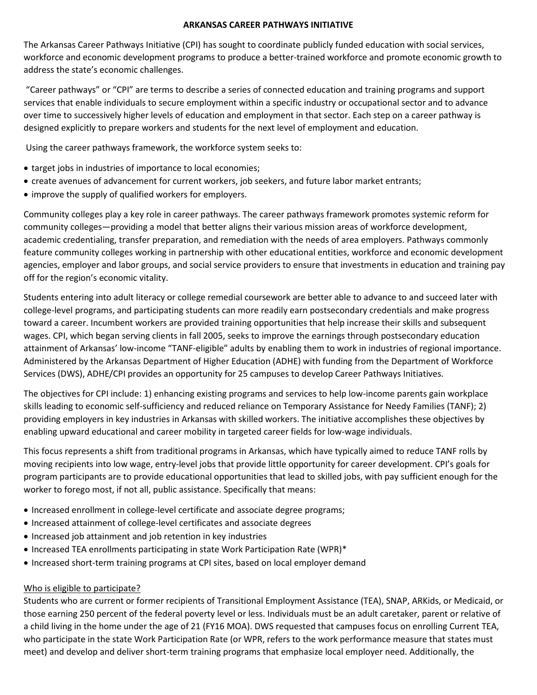## **ARKANSAS CAREER PATHWAYS INITIATIVE**

The Arkansas Career Pathways Initiative (CPI) has sought to coordinate publicly funded education with social services, workforce and economic development programs to produce a better-trained workforce and promote economic growth to address the state's economic challenges.

"Career pathways" or "CPI" are terms to describe a series of connected education and training programs and support services that enable individuals to secure employment within a specific industry or occupational sector and to advance over time to successively higher levels of education and employment in that sector. Each step on a career pathway is designed explicitly to prepare workers and students for the next level of employment and education.

Using the career pathways framework, the workforce system seeks to:

- target jobs in industries of importance to local economies;
- create avenues of advancement for current workers, job seekers, and future labor market entrants;
- improve the supply of qualified workers for employers.

Community colleges play a key role in career pathways. The career pathways framework promotes systemic reform for community colleges—providing a model that better aligns their various mission areas of workforce development, academic credentialing, transfer preparation, and remediation with the needs of area employers. Pathways commonly feature community colleges working in partnership with other educational entities, workforce and economic development agencies, employer and labor groups, and social service providers to ensure that investments in education and training pay off for the region's economic vitality.

Students entering into adult literacy or college remedial coursework are better able to advance to and succeed later with college-level programs, and participating students can more readily earn postsecondary credentials and make progress toward a career. Incumbent workers are provided training opportunities that help increase their skills and subsequent wages. CPI, which began serving clients in fall 2005, seeks to improve the earnings through postsecondary education attainment of Arkansas' low-income "TANF-eligible" adults by enabling them to work in industries of regional importance. Administered by the Arkansas Department of Higher Education (ADHE) with funding from the Department of Workforce Services (DWS), ADHE/CPI provides an opportunity for 25 campuses to develop Career Pathways Initiatives.

The objectives for CPI include: 1) enhancing existing programs and services to help low-income parents gain workplace skills leading to economic self-sufficiency and reduced reliance on Temporary Assistance for Needy Families (TANF); 2) providing employers in key industries in Arkansas with skilled workers. The initiative accomplishes these objectives by enabling upward educational and career mobility in targeted career fields for low-wage individuals.

This focus represents a shift from traditional programs in Arkansas, which have typically aimed to reduce TANF rolls by moving recipients into low wage, entry-level jobs that provide little opportunity for career development. CPI's goals for program participants are to provide educational opportunities that lead to skilled jobs, with pay sufficient enough for the worker to forego most, if not all, public assistance. Specifically that means:

- Increased enrollment in college-level certificate and associate degree programs;
- Increased attainment of college-level certificates and associate degrees
- Increased job attainment and job retention in key industries
- Increased TEA enrollments participating in state Work Participation Rate (WPR)\*
- Increased short-term training programs at CPI sites, based on local employer demand

## Who is eligible to participate?

Students who are current or former recipients of Transitional Employment Assistance (TEA), SNAP, ARKids, or Medicaid, or those earning 250 percent of the federal poverty level or less. Individuals must be an adult caretaker, parent or relative of a child living in the home under the age of 21 (FY16 MOA). DWS requested that campuses focus on enrolling Current TEA, who participate in the state Work Participation Rate (or WPR, refers to the work performance measure that states must meet) and develop and deliver short-term training programs that emphasize local employer need. Additionally, the